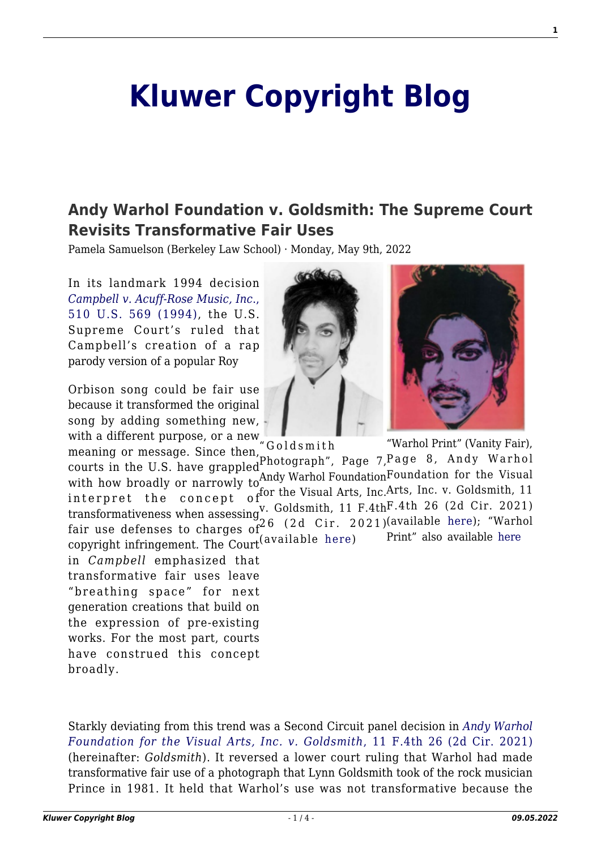## **[Kluwer Copyright Blog](http://copyrightblog.kluweriplaw.com/)**

## **[Andy Warhol Foundation v. Goldsmith: The Supreme Court](http://copyrightblog.kluweriplaw.com/2022/05/09/andy-warhol-foundation-v-goldsmith-the-supreme-court-revisits-transformative-fair-uses/) [Revisits Transformative Fair Uses](http://copyrightblog.kluweriplaw.com/2022/05/09/andy-warhol-foundation-v-goldsmith-the-supreme-court-revisits-transformative-fair-uses/)**

Pamela Samuelson (Berkeley Law School) · Monday, May 9th, 2022

In its landmark 1994 decision *[Campbell v. Acuff-Rose Music, Inc](https://supreme.justia.com/cases/federal/us/510/569/)*[.,](https://supreme.justia.com/cases/federal/us/510/569/) [510 U.S. 569 \(1994\)](https://supreme.justia.com/cases/federal/us/510/569/), the U.S. Supreme Court's ruled that Campbell's creation of a rap parody version of a popular Roy

Orbison song could be fair use because it transformed the original song by adding something new, with a different purpose, or a new

Photograph", Page 7, Page 8, Andy Warhol with how broadly or narrowly to  $\Lambda$ ndy Warhol Foundation Foundation for the Visual with how broadly or narrowly to  $\Lambda$ for the Visual Arts, Inc.Arts, Inc. v. Goldsmith, 11 v. Goldsmith, 11 F.4th<sup>F.4th</sup> 26 (2d Cir. 2021) (available [here](https://cases.justia.com/federal/appellate-courts/ca2/19-2420/19-2420-2021-03-26.pdf?ts=1616769010)); "Warhol Print" also available [here](https://archive.vanityfair.com/article/1984/11/purple-fame) "Goldsmith fair use defenses to charges of  $26$  (2d Cir. 2021) copyright infringement. The Court (available [here\)](https://cases.justia.com/federal/appellate-courts/ca2/19-2420/19-2420-2021-03-26.pdf?ts=1616769010) meaning or message. Since then, courts in the U.S. have grappled interpret the concept of transformativeness when assessing

in *Campbell* emphasized that transformative fair uses leave "breathing space" for next generation creations that build on the expression of pre-existing works. For the most part, courts have construed this concept broadly.

Starkly deviating from this trend was a Second Circuit panel decision in *[Andy Warhol](https://law.justia.com/cases/federal/appellate-courts/ca2/19-2420/19-2420-2021-03-26.html) [Foundation for the Visual Arts, Inc. v. Goldsmith](https://law.justia.com/cases/federal/appellate-courts/ca2/19-2420/19-2420-2021-03-26.html)*[, 11 F.4th 26 \(2d Cir. 2021\)](https://law.justia.com/cases/federal/appellate-courts/ca2/19-2420/19-2420-2021-03-26.html) (hereinafter: *Goldsmith*). It reversed a lower court ruling that Warhol had made transformative fair use of a photograph that Lynn Goldsmith took of the rock musician Prince in 1981. It held that Warhol's use was not transformative because the

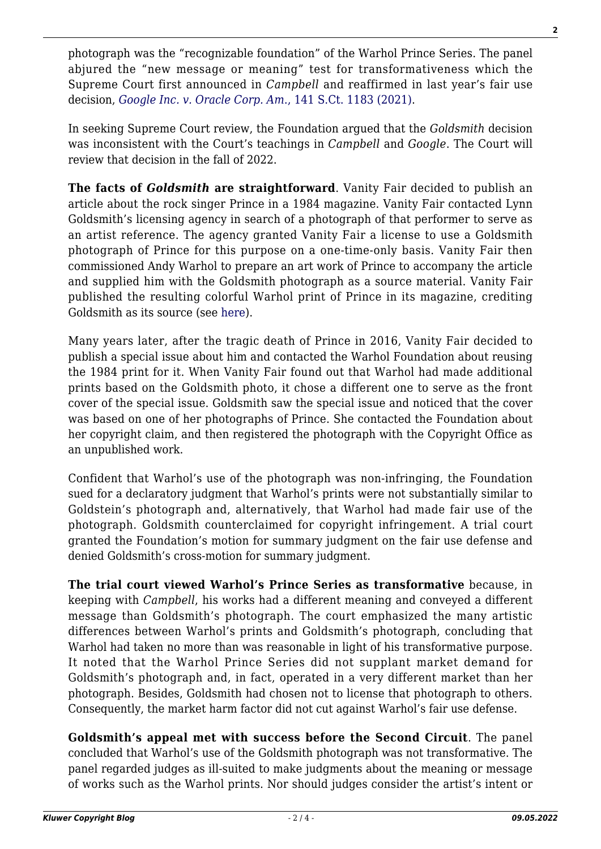photograph was the "recognizable foundation" of the Warhol Prince Series. The panel abjured the "new message or meaning" test for transformativeness which the Supreme Court first announced in *Campbell* and reaffirmed in last year's fair use decision, *[Google Inc. v. Oracle Corp. Am](https://www.supremecourt.gov/opinions/20pdf/18-956_d18f.pdf)*[., 141 S.Ct. 1183 \(2021\)](https://www.supremecourt.gov/opinions/20pdf/18-956_d18f.pdf).

In seeking Supreme Court review, the Foundation argued that the *Goldsmith* decision was inconsistent with the Court's teachings in *Campbell* and *Google*. The Court will review that decision in the fall of 2022.

**The facts of** *Goldsmith* **are straightforward**. Vanity Fair decided to publish an article about the rock singer Prince in a 1984 magazine. Vanity Fair contacted Lynn Goldsmith's licensing agency in search of a photograph of that performer to serve as an artist reference. The agency granted Vanity Fair a license to use a Goldsmith photograph of Prince for this purpose on a one-time-only basis. Vanity Fair then commissioned Andy Warhol to prepare an art work of Prince to accompany the article and supplied him with the Goldsmith photograph as a source material. Vanity Fair published the resulting colorful Warhol print of Prince in its magazine, crediting Goldsmith as its source (see [here](https://archive.vanityfair.com/article/1984/11/purple-fame)).

Many years later, after the tragic death of Prince in 2016, Vanity Fair decided to publish a special issue about him and contacted the Warhol Foundation about reusing the 1984 print for it. When Vanity Fair found out that Warhol had made additional prints based on the Goldsmith photo, it chose a different one to serve as the front cover of the special issue. Goldsmith saw the special issue and noticed that the cover was based on one of her photographs of Prince. She contacted the Foundation about her copyright claim, and then registered the photograph with the Copyright Office as an unpublished work.

Confident that Warhol's use of the photograph was non-infringing, the Foundation sued for a declaratory judgment that Warhol's prints were not substantially similar to Goldstein's photograph and, alternatively, that Warhol had made fair use of the photograph. Goldsmith counterclaimed for copyright infringement. A trial court granted the Foundation's motion for summary judgment on the fair use defense and denied Goldsmith's cross-motion for summary judgment.

**The trial court viewed Warhol's Prince Series as transformative** because, in keeping with *Campbell*, his works had a different meaning and conveyed a different message than Goldsmith's photograph. The court emphasized the many artistic differences between Warhol's prints and Goldsmith's photograph, concluding that Warhol had taken no more than was reasonable in light of his transformative purpose. It noted that the Warhol Prince Series did not supplant market demand for Goldsmith's photograph and, in fact, operated in a very different market than her photograph. Besides, Goldsmith had chosen not to license that photograph to others. Consequently, the market harm factor did not cut against Warhol's fair use defense.

**Goldsmith's appeal met with success before the Second Circuit**. The panel concluded that Warhol's use of the Goldsmith photograph was not transformative. The panel regarded judges as ill-suited to make judgments about the meaning or message of works such as the Warhol prints. Nor should judges consider the artist's intent or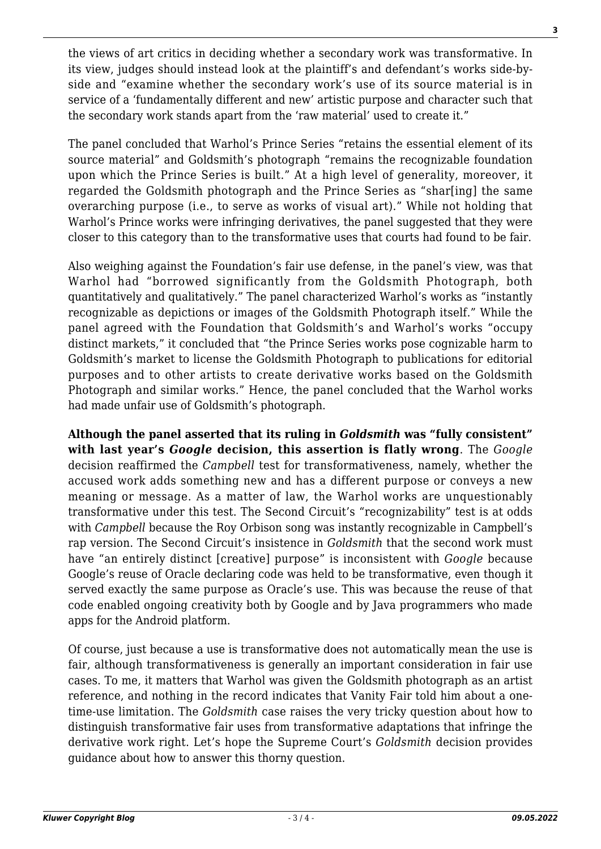the views of art critics in deciding whether a secondary work was transformative. In its view, judges should instead look at the plaintiff's and defendant's works side-byside and "examine whether the secondary work's use of its source material is in service of a 'fundamentally different and new' artistic purpose and character such that the secondary work stands apart from the 'raw material' used to create it."

The panel concluded that Warhol's Prince Series "retains the essential element of its source material" and Goldsmith's photograph "remains the recognizable foundation upon which the Prince Series is built." At a high level of generality, moreover, it regarded the Goldsmith photograph and the Prince Series as "shar[ing] the same overarching purpose (i.e., to serve as works of visual art)." While not holding that Warhol's Prince works were infringing derivatives, the panel suggested that they were closer to this category than to the transformative uses that courts had found to be fair.

Also weighing against the Foundation's fair use defense, in the panel's view, was that Warhol had "borrowed significantly from the Goldsmith Photograph, both quantitatively and qualitatively." The panel characterized Warhol's works as "instantly recognizable as depictions or images of the Goldsmith Photograph itself." While the panel agreed with the Foundation that Goldsmith's and Warhol's works "occupy distinct markets," it concluded that "the Prince Series works pose cognizable harm to Goldsmith's market to license the Goldsmith Photograph to publications for editorial purposes and to other artists to create derivative works based on the Goldsmith Photograph and similar works." Hence, the panel concluded that the Warhol works had made unfair use of Goldsmith's photograph.

**Although the panel asserted that its ruling in** *Goldsmith* **was "fully consistent" with last year's** *Google* **decision, this assertion is flatly wrong**. The *Google* decision reaffirmed the *Campbell* test for transformativeness, namely, whether the accused work adds something new and has a different purpose or conveys a new meaning or message. As a matter of law, the Warhol works are unquestionably transformative under this test. The Second Circuit's "recognizability" test is at odds with *Campbell* because the Roy Orbison song was instantly recognizable in Campbell's rap version. The Second Circuit's insistence in *Goldsmith* that the second work must have "an entirely distinct [creative] purpose" is inconsistent with *Google* because Google's reuse of Oracle declaring code was held to be transformative, even though it served exactly the same purpose as Oracle's use. This was because the reuse of that code enabled ongoing creativity both by Google and by Java programmers who made apps for the Android platform.

Of course, just because a use is transformative does not automatically mean the use is fair, although transformativeness is generally an important consideration in fair use cases. To me, it matters that Warhol was given the Goldsmith photograph as an artist reference, and nothing in the record indicates that Vanity Fair told him about a onetime-use limitation. The *Goldsmith* case raises the very tricky question about how to distinguish transformative fair uses from transformative adaptations that infringe the derivative work right. Let's hope the Supreme Court's *Goldsmith* decision provides guidance about how to answer this thorny question.